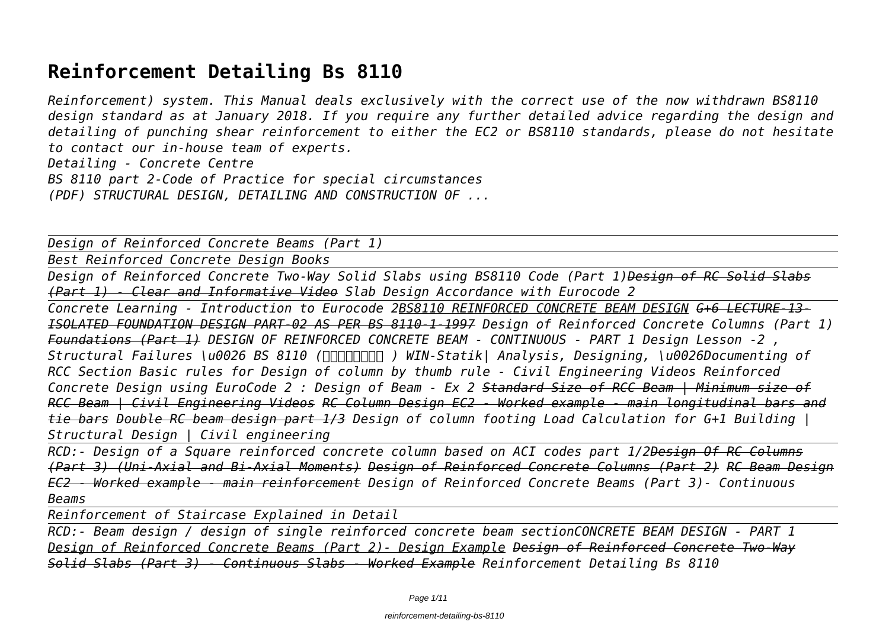# **Reinforcement Detailing Bs 8110**

*Reinforcement) system. This Manual deals exclusively with the correct use of the now withdrawn BS8110 design standard as at January 2018. If you require any further detailed advice regarding the design and detailing of punching shear reinforcement to either the EC2 or BS8110 standards, please do not hesitate to contact our in-house team of experts.*

*Detailing - Concrete Centre*

*BS 8110 part 2-Code of Practice for special circumstances*

*(PDF) STRUCTURAL DESIGN, DETAILING AND CONSTRUCTION OF ...*

*Design of Reinforced Concrete Beams (Part 1)*

*Best Reinforced Concrete Design Books*

*Design of Reinforced Concrete Two-Way Solid Slabs using BS8110 Code (Part 1)Design of RC Solid Slabs (Part 1) - Clear and Informative Video Slab Design Accordance with Eurocode 2*

*Concrete Learning - Introduction to Eurocode 2BS8110 REINFORCED CONCRETE BEAM DESIGN G+6 LECTURE-13- ISOLATED FOUNDATION DESIGN PART-02 AS PER BS 8110-1-1997 Design of Reinforced Concrete Columns (Part 1) Foundations (Part 1) DESIGN OF REINFORCED CONCRETE BEAM - CONTINUOUS - PART 1 Design Lesson -2 , Structural Failures \u0026 BS 8110 (සිංහලෙන් ) WIN-Statik| Analysis, Designing, \u0026Documenting of RCC Section Basic rules for Design of column by thumb rule - Civil Engineering Videos Reinforced Concrete Design using EuroCode 2 : Design of Beam - Ex 2 Standard Size of RCC Beam | Minimum size of RCC Beam | Civil Engineering Videos RC Column Design EC2 - Worked example - main longitudinal bars and tie bars Double RC beam design part 1/3 Design of column footing Load Calculation for G+1 Building | Structural Design | Civil engineering*

*RCD:- Design of a Square reinforced concrete column based on ACI codes part 1/2Design Of RC Columns (Part 3) (Uni-Axial and Bi-Axial Moments) Design of Reinforced Concrete Columns (Part 2) RC Beam Design EC2 - Worked example - main reinforcement Design of Reinforced Concrete Beams (Part 3)- Continuous Beams* 

*Reinforcement of Staircase Explained in Detail*

*RCD:- Beam design / design of single reinforced concrete beam sectionCONCRETE BEAM DESIGN - PART 1 Design of Reinforced Concrete Beams (Part 2)- Design Example Design of Reinforced Concrete Two-Way Solid Slabs (Part 3) - Continuous Slabs - Worked Example Reinforcement Detailing Bs 8110*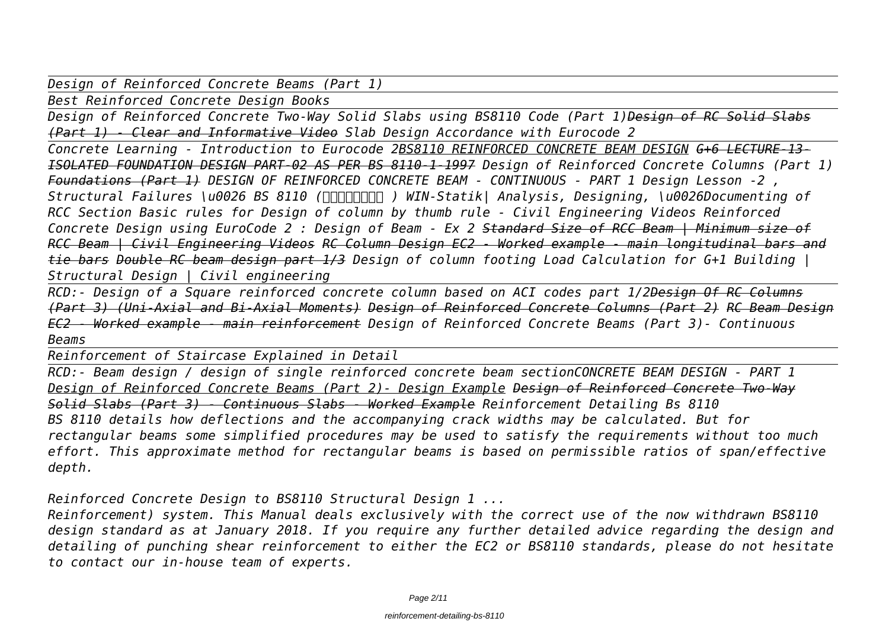*Design of Reinforced Concrete Beams (Part 1)*

*Best Reinforced Concrete Design Books*

*Design of Reinforced Concrete Two-Way Solid Slabs using BS8110 Code (Part 1)Design of RC Solid Slabs (Part 1) - Clear and Informative Video Slab Design Accordance with Eurocode 2*

*Concrete Learning - Introduction to Eurocode 2BS8110 REINFORCED CONCRETE BEAM DESIGN G+6 LECTURE-13- ISOLATED FOUNDATION DESIGN PART-02 AS PER BS 8110-1-1997 Design of Reinforced Concrete Columns (Part 1) Foundations (Part 1) DESIGN OF REINFORCED CONCRETE BEAM - CONTINUOUS - PART 1 Design Lesson -2 , Structural Failures \u0026 BS 8110 (සිංහලෙන් ) WIN-Statik| Analysis, Designing, \u0026Documenting of RCC Section Basic rules for Design of column by thumb rule - Civil Engineering Videos Reinforced Concrete Design using EuroCode 2 : Design of Beam - Ex 2 Standard Size of RCC Beam | Minimum size of RCC Beam | Civil Engineering Videos RC Column Design EC2 - Worked example - main longitudinal bars and tie bars Double RC beam design part 1/3 Design of column footing Load Calculation for G+1 Building | Structural Design | Civil engineering*

*RCD:- Design of a Square reinforced concrete column based on ACI codes part 1/2Design Of RC Columns (Part 3) (Uni-Axial and Bi-Axial Moments) Design of Reinforced Concrete Columns (Part 2) RC Beam Design EC2 - Worked example - main reinforcement Design of Reinforced Concrete Beams (Part 3)- Continuous Beams* 

*Reinforcement of Staircase Explained in Detail*

*RCD:- Beam design / design of single reinforced concrete beam sectionCONCRETE BEAM DESIGN - PART 1 Design of Reinforced Concrete Beams (Part 2)- Design Example Design of Reinforced Concrete Two-Way Solid Slabs (Part 3) - Continuous Slabs - Worked Example Reinforcement Detailing Bs 8110 BS 8110 details how deflections and the accompanying crack widths may be calculated. But for rectangular beams some simplified procedures may be used to satisfy the requirements without too much effort. This approximate method for rectangular beams is based on permissible ratios of span/effective depth.*

*Reinforced Concrete Design to BS8110 Structural Design 1 ...*

*Reinforcement) system. This Manual deals exclusively with the correct use of the now withdrawn BS8110 design standard as at January 2018. If you require any further detailed advice regarding the design and detailing of punching shear reinforcement to either the EC2 or BS8110 standards, please do not hesitate to contact our in-house team of experts.*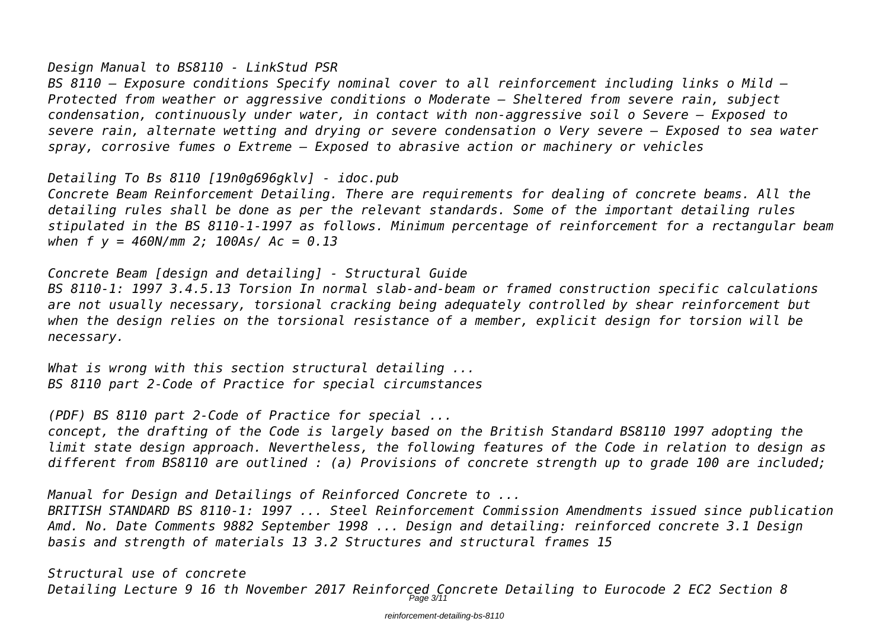#### *Design Manual to BS8110 - LinkStud PSR*

*BS 8110 – Exposure conditions Specify nominal cover to all reinforcement including links o Mild – Protected from weather or aggressive conditions o Moderate – Sheltered from severe rain, subject condensation, continuously under water, in contact with non-aggressive soil o Severe – Exposed to severe rain, alternate wetting and drying or severe condensation o Very severe – Exposed to sea water spray, corrosive fumes o Extreme – Exposed to abrasive action or machinery or vehicles*

*Detailing To Bs 8110 [19n0g696gklv] - idoc.pub*

*Concrete Beam Reinforcement Detailing. There are requirements for dealing of concrete beams. All the detailing rules shall be done as per the relevant standards. Some of the important detailing rules stipulated in the BS 8110-1-1997 as follows. Minimum percentage of reinforcement for a rectangular beam when f y = 460N/mm 2; 100As/ Ac = 0.13*

*Concrete Beam [design and detailing] - Structural Guide*

*BS 8110-1: 1997 3.4.5.13 Torsion In normal slab-and-beam or framed construction specific calculations are not usually necessary, torsional cracking being adequately controlled by shear reinforcement but when the design relies on the torsional resistance of a member, explicit design for torsion will be necessary.*

*What is wrong with this section structural detailing ... BS 8110 part 2-Code of Practice for special circumstances*

*(PDF) BS 8110 part 2-Code of Practice for special ...*

*concept, the drafting of the Code is largely based on the British Standard BS8110 1997 adopting the limit state design approach. Nevertheless, the following features of the Code in relation to design as different from BS8110 are outlined : (a) Provisions of concrete strength up to grade 100 are included;*

*Manual for Design and Detailings of Reinforced Concrete to ...*

*BRITISH STANDARD BS 8110-1: 1997 ... Steel Reinforcement Commission Amendments issued since publication Amd. No. Date Comments 9882 September 1998 ... Design and detailing: reinforced concrete 3.1 Design basis and strength of materials 13 3.2 Structures and structural frames 15*

*Structural use of concrete Detailing Lecture 9 16 th November 2017 Reinforced Concrete Detailing to Eurocode 2 EC2 Section 8* Page 3/11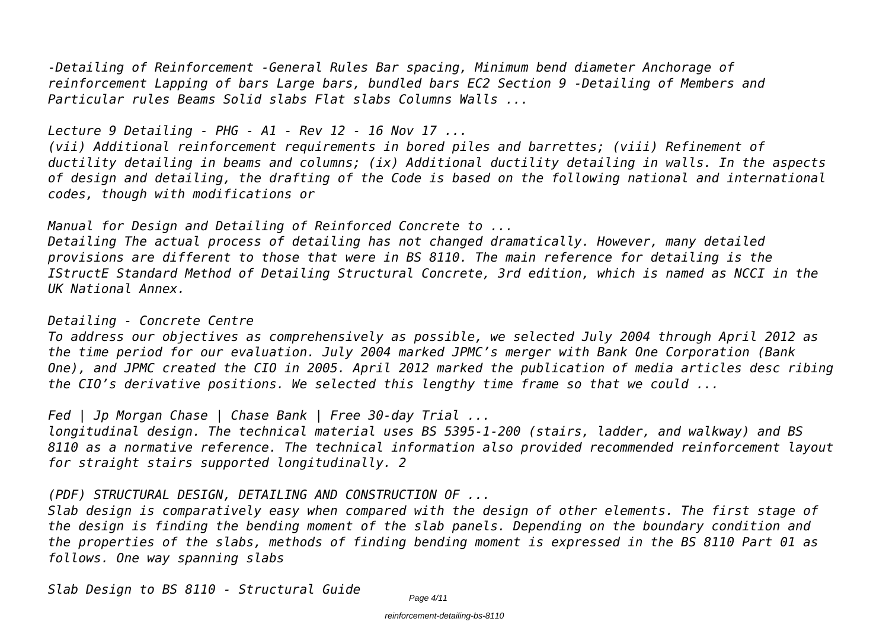*-Detailing of Reinforcement -General Rules Bar spacing, Minimum bend diameter Anchorage of reinforcement Lapping of bars Large bars, bundled bars EC2 Section 9 -Detailing of Members and Particular rules Beams Solid slabs Flat slabs Columns Walls ...*

*Lecture 9 Detailing - PHG - A1 - Rev 12 - 16 Nov 17 ...*

*(vii) Additional reinforcement requirements in bored piles and barrettes; (viii) Refinement of ductility detailing in beams and columns; (ix) Additional ductility detailing in walls. In the aspects of design and detailing, the drafting of the Code is based on the following national and international codes, though with modifications or*

*Manual for Design and Detailing of Reinforced Concrete to ...*

*Detailing The actual process of detailing has not changed dramatically. However, many detailed provisions are different to those that were in BS 8110. The main reference for detailing is the IStructE Standard Method of Detailing Structural Concrete, 3rd edition, which is named as NCCI in the UK National Annex.*

#### *Detailing - Concrete Centre*

*To address our objectives as comprehensively as possible, we selected July 2004 through April 2012 as the time period for our evaluation. July 2004 marked JPMC's merger with Bank One Corporation (Bank One), and JPMC created the CIO in 2005. April 2012 marked the publication of media articles desc ribing the CIO's derivative positions. We selected this lengthy time frame so that we could ...*

*Fed | Jp Morgan Chase | Chase Bank | Free 30-day Trial ...*

*longitudinal design. The technical material uses BS 5395-1-200 (stairs, ladder, and walkway) and BS 8110 as a normative reference. The technical information also provided recommended reinforcement layout for straight stairs supported longitudinally. 2*

*(PDF) STRUCTURAL DESIGN, DETAILING AND CONSTRUCTION OF ...*

*Slab design is comparatively easy when compared with the design of other elements. The first stage of the design is finding the bending moment of the slab panels. Depending on the boundary condition and the properties of the slabs, methods of finding bending moment is expressed in the BS 8110 Part 01 as follows. One way spanning slabs*

*Slab Design to BS 8110 - Structural Guide*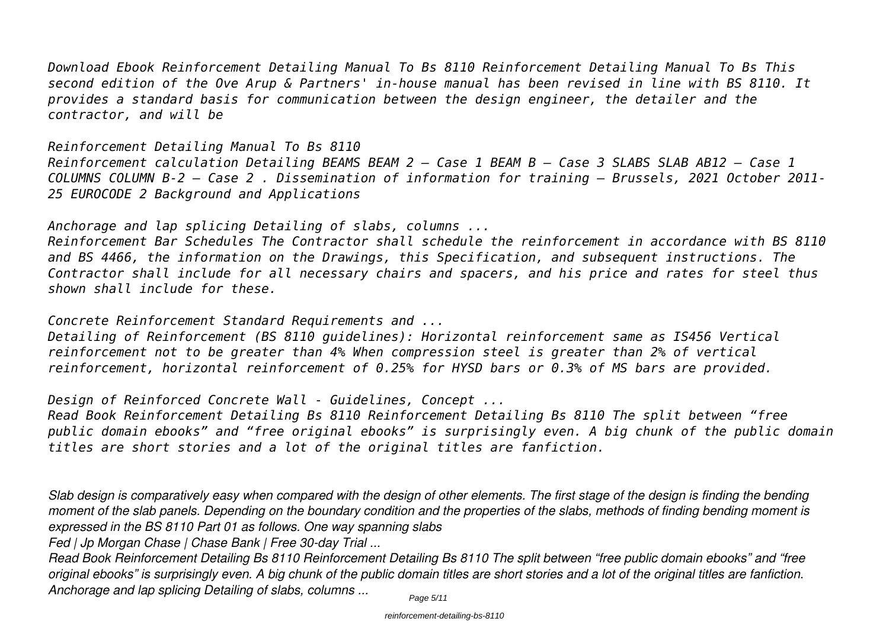*Download Ebook Reinforcement Detailing Manual To Bs 8110 Reinforcement Detailing Manual To Bs This second edition of the Ove Arup & Partners' in-house manual has been revised in line with BS 8110. It provides a standard basis for communication between the design engineer, the detailer and the contractor, and will be*

*Reinforcement Detailing Manual To Bs 8110 Reinforcement calculation Detailing BEAMS BEAM 2 – Case 1 BEAM B – Case 3 SLABS SLAB AB12 – Case 1 COLUMNS COLUMN B-2 – Case 2 . Dissemination of information for training – Brussels, 2021 October 2011- 25 EUROCODE 2 Background and Applications*

*Anchorage and lap splicing Detailing of slabs, columns ...*

*Reinforcement Bar Schedules The Contractor shall schedule the reinforcement in accordance with BS 8110 and BS 4466, the information on the Drawings, this Specification, and subsequent instructions. The Contractor shall include for all necessary chairs and spacers, and his price and rates for steel thus shown shall include for these.*

*Concrete Reinforcement Standard Requirements and ...*

*Detailing of Reinforcement (BS 8110 guidelines): Horizontal reinforcement same as IS456 Vertical reinforcement not to be greater than 4% When compression steel is greater than 2% of vertical reinforcement, horizontal reinforcement of 0.25% for HYSD bars or 0.3% of MS bars are provided.*

*Design of Reinforced Concrete Wall - Guidelines, Concept ...*

*Read Book Reinforcement Detailing Bs 8110 Reinforcement Detailing Bs 8110 The split between "free public domain ebooks" and "free original ebooks" is surprisingly even. A big chunk of the public domain titles are short stories and a lot of the original titles are fanfiction.*

*Slab design is comparatively easy when compared with the design of other elements. The first stage of the design is finding the bending moment of the slab panels. Depending on the boundary condition and the properties of the slabs, methods of finding bending moment is expressed in the BS 8110 Part 01 as follows. One way spanning slabs*

*Fed | Jp Morgan Chase | Chase Bank | Free 30-day Trial ...*

*Read Book Reinforcement Detailing Bs 8110 Reinforcement Detailing Bs 8110 The split between "free public domain ebooks" and "free original ebooks" is surprisingly even. A big chunk of the public domain titles are short stories and a lot of the original titles are fanfiction. Anchorage and lap splicing Detailing of slabs, columns ...* Page 5/11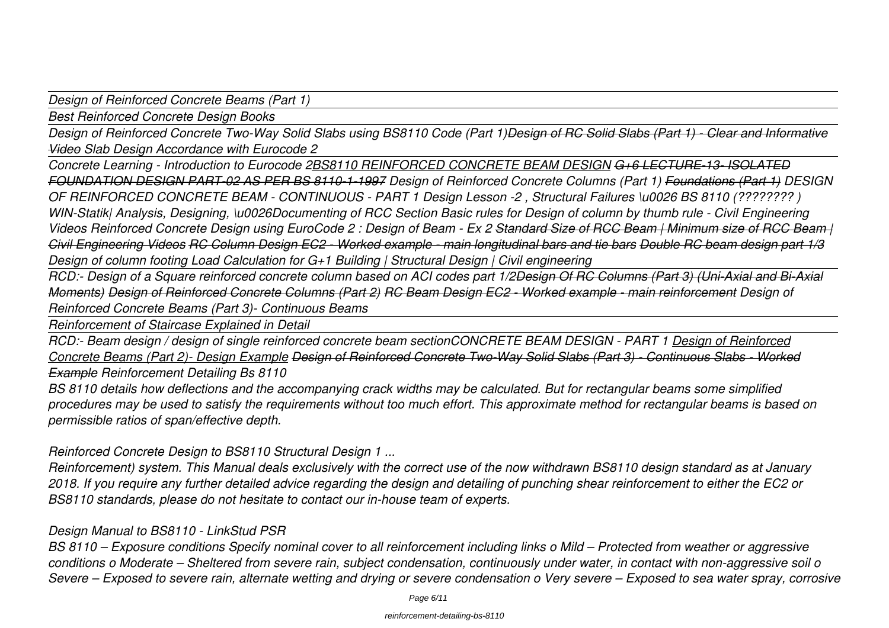*Design of Reinforced Concrete Beams (Part 1)*

*Best Reinforced Concrete Design Books*

*Design of Reinforced Concrete Two-Way Solid Slabs using BS8110 Code (Part 1)<del>Design of RC Solid Slabs (Part 1) - Clear and Informative</del> Video Slab Design Accordance with Eurocode 2*

*Concrete Learning - Introduction to Eurocode 2BS8110 REINFORCED CONCRETE BEAM DESIGN G+6 LECTURE-13- ISOLATED FOUNDATION DESIGN PART-02 AS PER BS 8110-1-1997 Design of Reinforced Concrete Columns (Part 1) Foundations (Part 1) DESIGN OF REINFORCED CONCRETE BEAM - CONTINUOUS - PART 1 Design Lesson -2 , Structural Failures \u0026 BS 8110 (???????? ) WIN-Statik| Analysis, Designing, \u0026Documenting of RCC Section Basic rules for Design of column by thumb rule - Civil Engineering Videos Reinforced Concrete Design using EuroCode 2 : Design of Beam - Ex 2 Standard Size of RCC Beam | Minimum size of RCC Beam | Civil Engineering Videos RC Column Design EC2 - Worked example - main longitudinal bars and tie bars Double RC beam design part 1/3 Design of column footing Load Calculation for G+1 Building | Structural Design | Civil engineering*

*RCD:- Design of a Square reinforced concrete column based on ACI codes part 1/2Design Of RC Columns (Part 3) (Uni-Axial and Bi-Axial Moments) Design of Reinforced Concrete Columns (Part 2) RC Beam Design EC2 - Worked example - main reinforcement Design of Reinforced Concrete Beams (Part 3)- Continuous Beams* 

*Reinforcement of Staircase Explained in Detail*

*RCD:- Beam design / design of single reinforced concrete beam sectionCONCRETE BEAM DESIGN - PART 1 Design of Reinforced Concrete Beams (Part 2)- Design Example Design of Reinforced Concrete Two-Way Solid Slabs (Part 3) - Continuous Slabs - Worked Example Reinforcement Detailing Bs 8110*

*BS 8110 details how deflections and the accompanying crack widths may be calculated. But for rectangular beams some simplified procedures may be used to satisfy the requirements without too much effort. This approximate method for rectangular beams is based on permissible ratios of span/effective depth.*

*Reinforced Concrete Design to BS8110 Structural Design 1 ...*

*Reinforcement) system. This Manual deals exclusively with the correct use of the now withdrawn BS8110 design standard as at January 2018. If you require any further detailed advice regarding the design and detailing of punching shear reinforcement to either the EC2 or BS8110 standards, please do not hesitate to contact our in-house team of experts.*

#### *Design Manual to BS8110 - LinkStud PSR*

*BS 8110 – Exposure conditions Specify nominal cover to all reinforcement including links o Mild – Protected from weather or aggressive conditions o Moderate – Sheltered from severe rain, subject condensation, continuously under water, in contact with non-aggressive soil o Severe – Exposed to severe rain, alternate wetting and drying or severe condensation o Very severe – Exposed to sea water spray, corrosive*

Page 6/11

#### reinforcement-detailing-bs-8110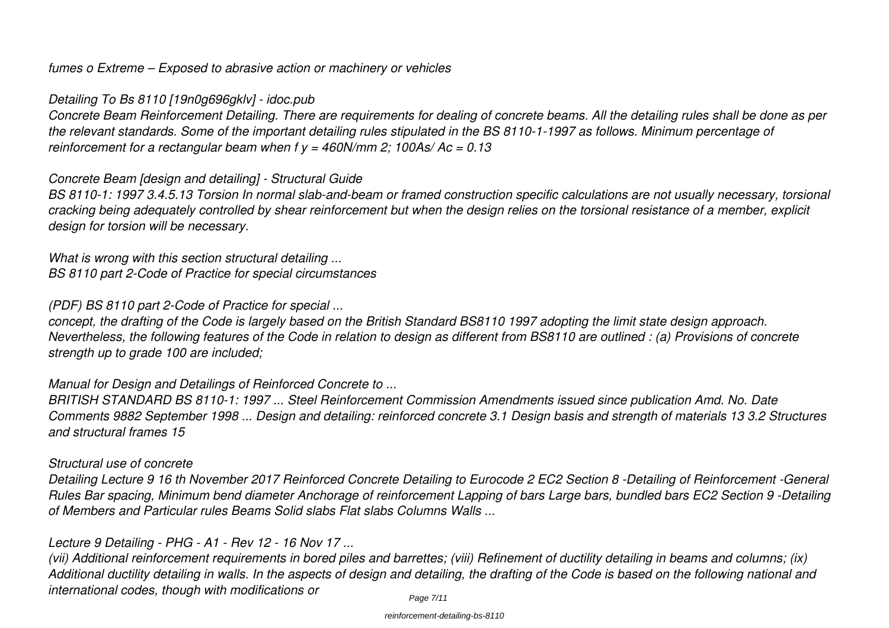*fumes o Extreme – Exposed to abrasive action or machinery or vehicles*

## *Detailing To Bs 8110 [19n0g696gklv] - idoc.pub*

*Concrete Beam Reinforcement Detailing. There are requirements for dealing of concrete beams. All the detailing rules shall be done as per the relevant standards. Some of the important detailing rules stipulated in the BS 8110-1-1997 as follows. Minimum percentage of reinforcement for a rectangular beam when f y = 460N/mm 2; 100As/ Ac = 0.13*

#### *Concrete Beam [design and detailing] - Structural Guide*

*BS 8110-1: 1997 3.4.5.13 Torsion In normal slab-and-beam or framed construction specific calculations are not usually necessary, torsional cracking being adequately controlled by shear reinforcement but when the design relies on the torsional resistance of a member, explicit design for torsion will be necessary.*

*What is wrong with this section structural detailing ... BS 8110 part 2-Code of Practice for special circumstances*

## *(PDF) BS 8110 part 2-Code of Practice for special ...*

*concept, the drafting of the Code is largely based on the British Standard BS8110 1997 adopting the limit state design approach. Nevertheless, the following features of the Code in relation to design as different from BS8110 are outlined : (a) Provisions of concrete strength up to grade 100 are included;*

## *Manual for Design and Detailings of Reinforced Concrete to ...*

*BRITISH STANDARD BS 8110-1: 1997 ... Steel Reinforcement Commission Amendments issued since publication Amd. No. Date Comments 9882 September 1998 ... Design and detailing: reinforced concrete 3.1 Design basis and strength of materials 13 3.2 Structures and structural frames 15*

#### *Structural use of concrete*

*Detailing Lecture 9 16 th November 2017 Reinforced Concrete Detailing to Eurocode 2 EC2 Section 8 -Detailing of Reinforcement -General Rules Bar spacing, Minimum bend diameter Anchorage of reinforcement Lapping of bars Large bars, bundled bars EC2 Section 9 -Detailing of Members and Particular rules Beams Solid slabs Flat slabs Columns Walls ...*

## *Lecture 9 Detailing - PHG - A1 - Rev 12 - 16 Nov 17 ...*

*(vii) Additional reinforcement requirements in bored piles and barrettes; (viii) Refinement of ductility detailing in beams and columns; (ix) Additional ductility detailing in walls. In the aspects of design and detailing, the drafting of the Code is based on the following national and international codes, though with modifications or*

#### reinforcement-detailing-bs-8110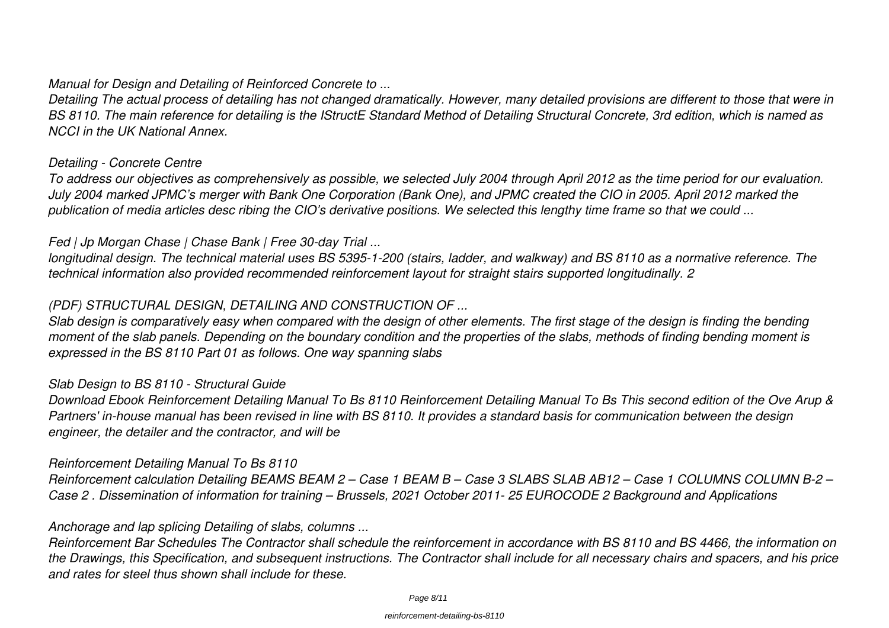#### *Manual for Design and Detailing of Reinforced Concrete to ...*

*Detailing The actual process of detailing has not changed dramatically. However, many detailed provisions are different to those that were in BS 8110. The main reference for detailing is the IStructE Standard Method of Detailing Structural Concrete, 3rd edition, which is named as NCCI in the UK National Annex.*

#### *Detailing - Concrete Centre*

*To address our objectives as comprehensively as possible, we selected July 2004 through April 2012 as the time period for our evaluation. July 2004 marked JPMC's merger with Bank One Corporation (Bank One), and JPMC created the CIO in 2005. April 2012 marked the publication of media articles desc ribing the CIO's derivative positions. We selected this lengthy time frame so that we could ...*

#### *Fed | Jp Morgan Chase | Chase Bank | Free 30-day Trial ...*

*longitudinal design. The technical material uses BS 5395-1-200 (stairs, ladder, and walkway) and BS 8110 as a normative reference. The technical information also provided recommended reinforcement layout for straight stairs supported longitudinally. 2*

#### *(PDF) STRUCTURAL DESIGN, DETAILING AND CONSTRUCTION OF ...*

*Slab design is comparatively easy when compared with the design of other elements. The first stage of the design is finding the bending moment of the slab panels. Depending on the boundary condition and the properties of the slabs, methods of finding bending moment is expressed in the BS 8110 Part 01 as follows. One way spanning slabs*

#### *Slab Design to BS 8110 - Structural Guide*

*Download Ebook Reinforcement Detailing Manual To Bs 8110 Reinforcement Detailing Manual To Bs This second edition of the Ove Arup & Partners' in-house manual has been revised in line with BS 8110. It provides a standard basis for communication between the design engineer, the detailer and the contractor, and will be*

#### *Reinforcement Detailing Manual To Bs 8110*

*Reinforcement calculation Detailing BEAMS BEAM 2 – Case 1 BEAM B – Case 3 SLABS SLAB AB12 – Case 1 COLUMNS COLUMN B-2 – Case 2 . Dissemination of information for training – Brussels, 2021 October 2011- 25 EUROCODE 2 Background and Applications*

#### *Anchorage and lap splicing Detailing of slabs, columns ...*

*Reinforcement Bar Schedules The Contractor shall schedule the reinforcement in accordance with BS 8110 and BS 4466, the information on the Drawings, this Specification, and subsequent instructions. The Contractor shall include for all necessary chairs and spacers, and his price and rates for steel thus shown shall include for these.*

#### reinforcement-detailing-bs-8110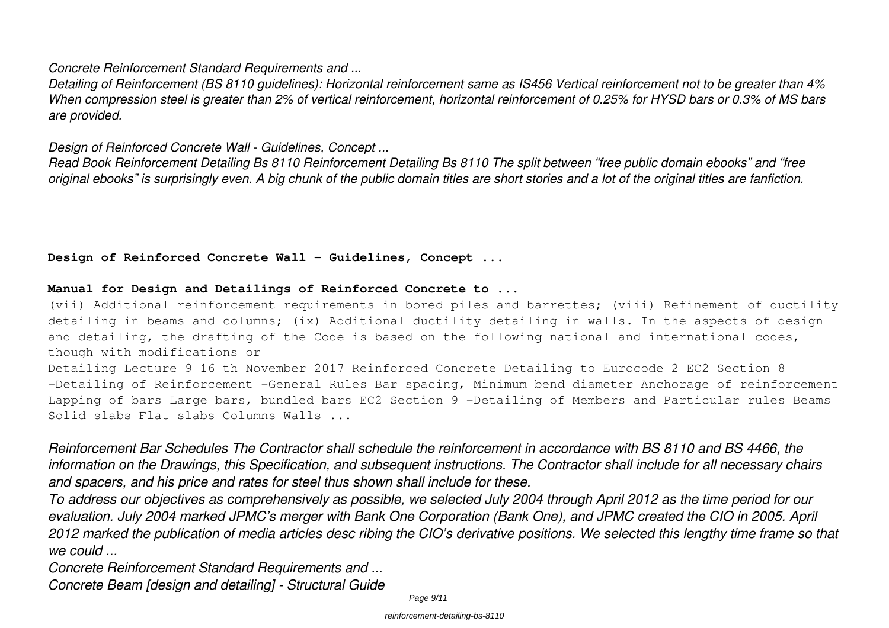#### *Concrete Reinforcement Standard Requirements and ...*

*Detailing of Reinforcement (BS 8110 guidelines): Horizontal reinforcement same as IS456 Vertical reinforcement not to be greater than 4% When compression steel is greater than 2% of vertical reinforcement, horizontal reinforcement of 0.25% for HYSD bars or 0.3% of MS bars are provided.*

#### *Design of Reinforced Concrete Wall - Guidelines, Concept ...*

*Read Book Reinforcement Detailing Bs 8110 Reinforcement Detailing Bs 8110 The split between "free public domain ebooks" and "free original ebooks" is surprisingly even. A big chunk of the public domain titles are short stories and a lot of the original titles are fanfiction.*

#### Design of Reinforced Concrete Wall - Guidelines, Concept ...

#### **Manual for Design and Detailings of Reinforced Concrete to ...**

(vii) Additional reinforcement requirements in bored piles and barrettes; (viii) Refinement of ductility detailing in beams and columns; (ix) Additional ductility detailing in walls. In the aspects of design and detailing, the drafting of the Code is based on the following national and international codes, though with modifications or

Detailing Lecture 9 16 th November 2017 Reinforced Concrete Detailing to Eurocode 2 EC2 Section 8 -Detailing of Reinforcement -General Rules Bar spacing, Minimum bend diameter Anchorage of reinforcement Lapping of bars Large bars, bundled bars EC2 Section 9 -Detailing of Members and Particular rules Beams Solid slabs Flat slabs Columns Walls ...

*Reinforcement Bar Schedules The Contractor shall schedule the reinforcement in accordance with BS 8110 and BS 4466, the information on the Drawings, this Specification, and subsequent instructions. The Contractor shall include for all necessary chairs and spacers, and his price and rates for steel thus shown shall include for these.*

*To address our objectives as comprehensively as possible, we selected July 2004 through April 2012 as the time period for our evaluation. July 2004 marked JPMC's merger with Bank One Corporation (Bank One), and JPMC created the CIO in 2005. April 2012 marked the publication of media articles desc ribing the CIO's derivative positions. We selected this lengthy time frame so that we could ...*

*Concrete Reinforcement Standard Requirements and ...*

*Concrete Beam [design and detailing] - Structural Guide*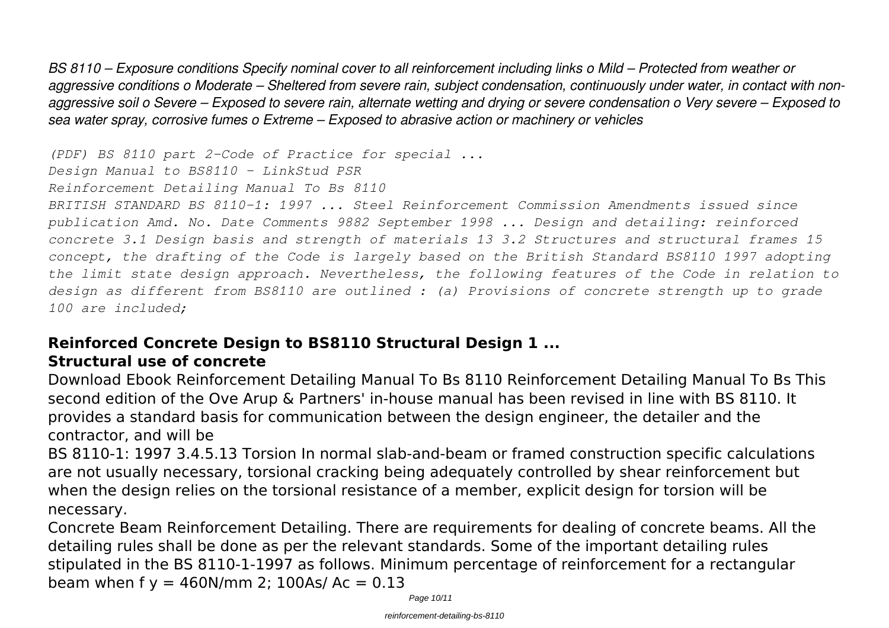*BS 8110 – Exposure conditions Specify nominal cover to all reinforcement including links o Mild – Protected from weather or aggressive conditions o Moderate – Sheltered from severe rain, subject condensation, continuously under water, in contact with nonaggressive soil o Severe – Exposed to severe rain, alternate wetting and drying or severe condensation o Very severe – Exposed to sea water spray, corrosive fumes o Extreme – Exposed to abrasive action or machinery or vehicles*

*(PDF) BS 8110 part 2-Code of Practice for special ...*

*Design Manual to BS8110 - LinkStud PSR*

*Reinforcement Detailing Manual To Bs 8110*

*BRITISH STANDARD BS 8110-1: 1997 ... Steel Reinforcement Commission Amendments issued since publication Amd. No. Date Comments 9882 September 1998 ... Design and detailing: reinforced concrete 3.1 Design basis and strength of materials 13 3.2 Structures and structural frames 15 concept, the drafting of the Code is largely based on the British Standard BS8110 1997 adopting the limit state design approach. Nevertheless, the following features of the Code in relation to design as different from BS8110 are outlined : (a) Provisions of concrete strength up to grade 100 are included;*

# **Reinforced Concrete Design to BS8110 Structural Design 1 ...**

# **Structural use of concrete**

Download Ebook Reinforcement Detailing Manual To Bs 8110 Reinforcement Detailing Manual To Bs This second edition of the Ove Arup & Partners' in-house manual has been revised in line with BS 8110. It provides a standard basis for communication between the design engineer, the detailer and the contractor, and will be

BS 8110-1: 1997 3.4.5.13 Torsion In normal slab-and-beam or framed construction specific calculations are not usually necessary, torsional cracking being adequately controlled by shear reinforcement but when the design relies on the torsional resistance of a member, explicit design for torsion will be necessary.

Concrete Beam Reinforcement Detailing. There are requirements for dealing of concrete beams. All the detailing rules shall be done as per the relevant standards. Some of the important detailing rules stipulated in the BS 8110-1-1997 as follows. Minimum percentage of reinforcement for a rectangular beam when  $f y = 460N/mm$  2; 100As/ Ac = 0.13